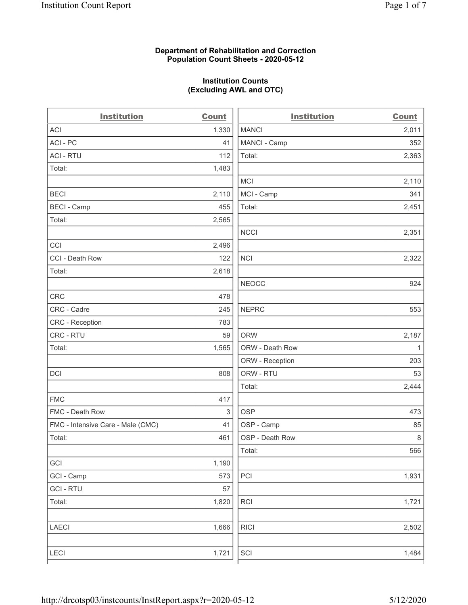### **Department of Rehabilitation and Correction Population Count Sheets - 2020-05-12**

# **Institution Counts (Excluding AWL and OTC)**

. .

| <b>Institution</b>                | <b>Count</b> | <b>Institution</b> | Count        |
|-----------------------------------|--------------|--------------------|--------------|
| ACI                               | 1,330        | <b>MANCI</b>       | 2,011        |
| ACI - PC                          | 41           | MANCI - Camp       | 352          |
| <b>ACI - RTU</b>                  | 112          | Total:             | 2,363        |
| Total:                            | 1,483        |                    |              |
|                                   |              | MCI                | 2,110        |
| <b>BECI</b>                       | 2,110        | MCI - Camp         | 341          |
| <b>BECI - Camp</b>                | 455          | Total:             | 2,451        |
| Total:                            | 2,565        |                    |              |
|                                   |              | <b>NCCI</b>        | 2,351        |
| CCI                               | 2,496        |                    |              |
| CCI - Death Row                   | 122          | <b>NCI</b>         | 2,322        |
| Total:                            | 2,618        |                    |              |
|                                   |              | <b>NEOCC</b>       | 924          |
| <b>CRC</b>                        | 478          |                    |              |
| CRC - Cadre                       | 245          | <b>NEPRC</b>       | 553          |
| CRC - Reception                   | 783          |                    |              |
| CRC - RTU                         | 59           | <b>ORW</b>         | 2,187        |
| Total:                            | 1,565        | ORW - Death Row    | $\mathbf{1}$ |
|                                   |              | ORW - Reception    | 203          |
| DCI                               | 808          | ORW - RTU          | 53           |
|                                   |              | Total:             | 2,444        |
| <b>FMC</b>                        | 417          |                    |              |
| FMC - Death Row                   | 3            | <b>OSP</b>         | 473          |
| FMC - Intensive Care - Male (CMC) | 41           | OSP - Camp         | 85           |
| Total:                            | 461          | OSP - Death Row    | $\,8\,$      |
|                                   |              | Total:             | 566          |
| GCI                               | 1,190        |                    |              |
| GCI - Camp                        | 573          | $\mathsf{PCI}$     | 1,931        |
| <b>GCI-RTU</b>                    | 57           |                    |              |
| Total:                            | 1,820        | RCI                | 1,721        |
| <b>LAECI</b>                      | 1,666        | <b>RICI</b>        | 2,502        |
| LECI                              | 1,721        | SCI                | 1,484        |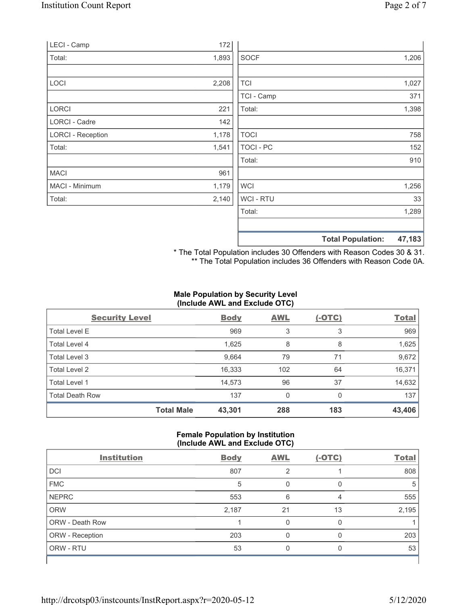| LECI - Camp              | 172   |                  |                          |        |
|--------------------------|-------|------------------|--------------------------|--------|
| Total:                   | 1,893 | <b>SOCF</b>      |                          | 1,206  |
|                          |       |                  |                          |        |
| LOCI                     | 2,208 | <b>TCI</b>       |                          | 1,027  |
|                          |       | TCI - Camp       |                          | 371    |
| <b>LORCI</b>             | 221   | Total:           |                          | 1,398  |
| LORCI - Cadre            | 142   |                  |                          |        |
| <b>LORCI - Reception</b> | 1,178 | <b>TOCI</b>      |                          | 758    |
| Total:                   | 1,541 | <b>TOCI - PC</b> |                          | 152    |
|                          |       | Total:           |                          | 910    |
| <b>MACI</b>              | 961   |                  |                          |        |
| MACI - Minimum           | 1,179 | <b>WCI</b>       |                          | 1,256  |
| Total:                   | 2,140 | WCI - RTU        |                          | 33     |
|                          |       | Total:           |                          | 1,289  |
|                          |       |                  | <b>Total Population:</b> | 47,183 |

\* The Total Population includes 30 Offenders with Reason Codes 30 & 31. \*\* The Total Population includes 36 Offenders with Reason Code 0A.

### **Male Population by Security Level (Include AWL and Exclude OTC)**

| <b>Security Level</b>  |                   | <b>Body</b> | <b>AWL</b> | $(-OTC)$ | <b>Total</b> |
|------------------------|-------------------|-------------|------------|----------|--------------|
| <b>Total Level E</b>   |                   | 969         | 3          | 3        | 969          |
| Total Level 4          |                   | 1,625       | 8          | 8        | 1,625        |
| Total Level 3          |                   | 9,664       | 79         | 71       | 9,672        |
| Total Level 2          |                   | 16,333      | 102        | 64       | 16,371       |
| Total Level 1          |                   | 14,573      | 96         | 37       | 14,632       |
| <b>Total Death Row</b> |                   | 137         | 0          | $\Omega$ | 137          |
|                        | <b>Total Male</b> | 43,301      | 288        | 183      | 43,406       |

## **Female Population by Institution (Include AWL and Exclude OTC)**

| <b>Institution</b> | <b>Body</b> | <b>AWL</b> | $(-OTC)$ | <b>Total</b> |
|--------------------|-------------|------------|----------|--------------|
| <b>DCI</b>         | 807         | 2          |          | 808          |
| <b>FMC</b>         | 5           | 0          | O        | 5            |
| <b>NEPRC</b>       | 553         | 6          | 4        | 555          |
| <b>ORW</b>         | 2,187       | 21         | 13       | 2,195        |
| ORW - Death Row    |             |            |          |              |
| ORW - Reception    | 203         |            |          | 203          |
| ORW - RTU          | 53          | 0          |          | 53           |
|                    |             |            |          |              |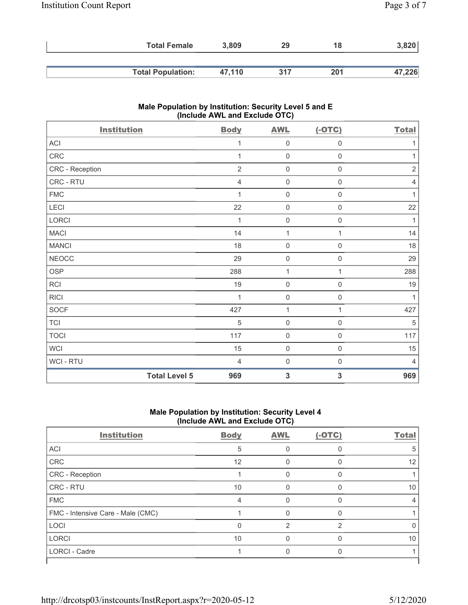| <b>Total Female</b>      | 3,809  | 29  | 18  | 3,820  |
|--------------------------|--------|-----|-----|--------|
|                          |        |     |     |        |
| <b>Total Population:</b> | 47.110 | 317 | 201 | 47,226 |

# **Male Population by Institution: Security Level 5 and E (Include AWL and Exclude OTC)**

| <b>Institution</b> |                      | <b>Body</b>    | <b>AWL</b>              | $(-OTC)$            | <b>Total</b>   |
|--------------------|----------------------|----------------|-------------------------|---------------------|----------------|
| ACI                |                      | 1              | $\mathbf 0$             | $\mathsf{O}\xspace$ | $\mathbf{1}$   |
| CRC                |                      | 1              | $\mathsf{O}\xspace$     | $\mathbf 0$         | 1              |
| CRC - Reception    |                      | $\overline{2}$ | $\mathsf{O}\xspace$     | $\mathsf{O}\xspace$ | $\sqrt{2}$     |
| CRC - RTU          |                      | $\overline{4}$ | $\mathbf 0$             | $\mathsf{O}\xspace$ | 4              |
| ${\sf FMC}$        |                      | 1              | $\mathbf 0$             | $\mathsf{O}\xspace$ | $\mathbf{1}$   |
| LECI               |                      | 22             | $\mathsf{O}\xspace$     | $\mathbf 0$         | 22             |
| LORCI              |                      | 1              | $\mathbf 0$             | $\mathsf{O}\xspace$ | 1              |
| <b>MACI</b>        |                      | 14             | $\mathbf{1}$            | 1                   | 14             |
| <b>MANCI</b>       |                      | 18             | $\mathbf 0$             | $\boldsymbol{0}$    | 18             |
| <b>NEOCC</b>       |                      | 29             | $\mathsf{O}\xspace$     | 0                   | 29             |
| <b>OSP</b>         |                      | 288            | $\mathbf 1$             | 1                   | 288            |
| <b>RCI</b>         |                      | 19             | $\mathsf{O}\xspace$     | $\mathsf{O}\xspace$ | 19             |
| <b>RICI</b>        |                      | 1              | $\mathbf 0$             | $\mathsf{O}\xspace$ | 1              |
| <b>SOCF</b>        |                      | 427            | $\mathbf{1}$            | $\mathbf{1}$        | 427            |
| <b>TCI</b>         |                      | $\sqrt{5}$     | $\mathbf 0$             | $\mathsf{O}\xspace$ | $\sqrt{5}$     |
| <b>TOCI</b>        |                      | 117            | $\mathsf{O}\xspace$     | 0                   | 117            |
| <b>WCI</b>         |                      | 15             | $\mathsf{O}\xspace$     | $\mathbf 0$         | 15             |
| <b>WCI - RTU</b>   |                      | $\overline{4}$ | $\mathbf 0$             | $\mathsf{O}\xspace$ | $\overline{4}$ |
|                    | <b>Total Level 5</b> | 969            | $\overline{\mathbf{3}}$ | 3                   | 969            |

### **Male Population by Institution: Security Level 4 (Include AWL and Exclude OTC)**

| <b>Institution</b>                | <b>Body</b> | <b>AWL</b>    | $(-OTC)$       | <b>Total</b> |
|-----------------------------------|-------------|---------------|----------------|--------------|
| ACI                               | 5           |               | U              | 5            |
| CRC                               | 12          |               |                | 12           |
| CRC - Reception                   |             |               |                |              |
| CRC - RTU                         | 10          |               |                | 10           |
| <b>FMC</b>                        | 4           |               | n              | 4            |
| FMC - Intensive Care - Male (CMC) |             |               |                |              |
| LOCI                              | 0           | $\mathcal{P}$ | $\mathfrak{p}$ |              |
| <b>LORCI</b>                      | 10          |               |                | 10           |
| LORCI - Cadre                     |             |               |                |              |
|                                   |             |               |                |              |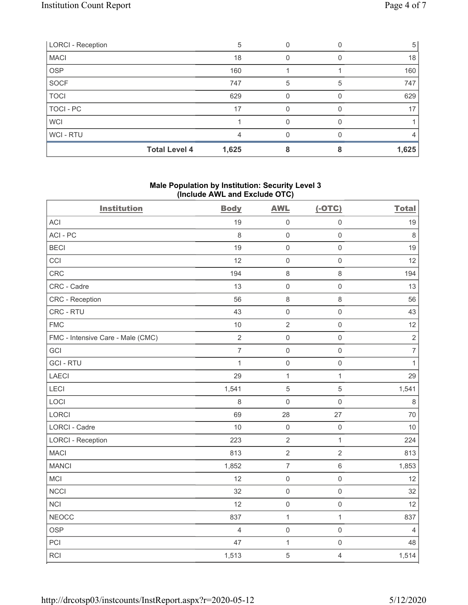|                          | <b>Total Level 4</b> | 1,625 |   |   | 1,625 |
|--------------------------|----------------------|-------|---|---|-------|
| WCI - RTU                |                      |       |   |   |       |
| <b>WCI</b>               |                      |       |   |   |       |
| TOCI - PC                |                      | 17    | U |   | 17    |
| <b>TOCI</b>              |                      | 629   |   |   | 629   |
| SOCF                     |                      | 747   | 5 | 5 | 747   |
| <b>OSP</b>               |                      | 160   |   |   | 160   |
| <b>MACI</b>              |                      | 18    |   |   | 18    |
| <b>LORCI - Reception</b> |                      | 5     |   |   | 5     |

### **Male Population by Institution: Security Level 3 (Include AWL and Exclude OTC)**

| <b>Institution</b>                | <b>Body</b>    | <b>AWL</b>          | $(-OTC)$            | <b>Total</b>   |
|-----------------------------------|----------------|---------------------|---------------------|----------------|
| <b>ACI</b>                        | 19             | $\mathbf 0$         | $\mathsf{O}\xspace$ | 19             |
| ACI-PC                            | 8              | $\mathbf 0$         | $\mathbf 0$         | $\,8\,$        |
| <b>BECI</b>                       | 19             | $\mathbf 0$         | $\overline{0}$      | 19             |
| CCI                               | 12             | $\mathsf{O}\xspace$ | $\mathsf{O}\xspace$ | 12             |
| CRC                               | 194            | 8                   | 8                   | 194            |
| CRC - Cadre                       | 13             | $\mathbf 0$         | $\mathsf{O}\xspace$ | 13             |
| CRC - Reception                   | 56             | $\,8\,$             | 8                   | 56             |
| CRC - RTU                         | 43             | $\mathbf 0$         | $\mathbf 0$         | 43             |
| <b>FMC</b>                        | 10             | $\overline{2}$      | $\mathbf 0$         | 12             |
| FMC - Intensive Care - Male (CMC) | $\overline{2}$ | $\mathsf{O}\xspace$ | $\mathsf{O}\xspace$ | $\overline{2}$ |
| GCI                               | $\overline{7}$ | $\mathbf 0$         | $\mathbf 0$         | $\overline{7}$ |
| <b>GCI-RTU</b>                    | $\mathbf{1}$   | $\mathbf 0$         | $\mathsf{O}\xspace$ | $\mathbf{1}$   |
| <b>LAECI</b>                      | 29             | $\mathbf{1}$        | $\mathbf{1}$        | 29             |
| LECI                              | 1,541          | $\sqrt{5}$          | 5                   | 1,541          |
| LOCI                              | $\,8\,$        | $\mathbf 0$         | $\mathbf 0$         | $\,8\,$        |
| <b>LORCI</b>                      | 69             | 28                  | 27                  | 70             |
| <b>LORCI - Cadre</b>              | 10             | $\mathbf 0$         | $\mathsf{O}\xspace$ | 10             |
| <b>LORCI - Reception</b>          | 223            | $\overline{2}$      | $\mathbf{1}$        | 224            |
| <b>MACI</b>                       | 813            | $\sqrt{2}$          | $\overline{2}$      | 813            |
| <b>MANCI</b>                      | 1,852          | $\overline{7}$      | $\,6\,$             | 1,853          |
| <b>MCI</b>                        | 12             | $\mathbf 0$         | $\mathbf 0$         | 12             |
| <b>NCCI</b>                       | 32             | $\mathbf 0$         | $\mathsf{O}\xspace$ | 32             |
| <b>NCI</b>                        | 12             | $\mathbf 0$         | $\mathbf 0$         | 12             |
| <b>NEOCC</b>                      | 837            | $\mathbf{1}$        | $\mathbf{1}$        | 837            |
| <b>OSP</b>                        | $\overline{4}$ | $\mathbf 0$         | $\mathsf{O}\xspace$ | $\overline{4}$ |
| PCI                               | 47             | $\mathbf 1$         | $\mathbf 0$         | 48             |
| RCI                               | 1,513          | 5                   | $\overline{4}$      | 1,514          |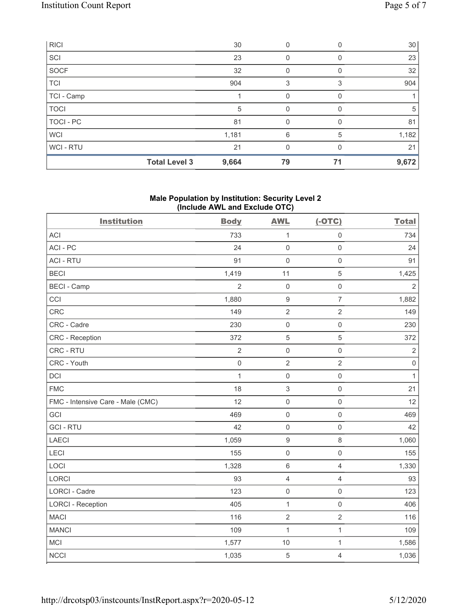|             | <b>Total Level 3</b> | 9,664 | 79       | 71 | 9,672 |
|-------------|----------------------|-------|----------|----|-------|
| WCI-RTU     |                      | 21    | 0        | O  | 21    |
| <b>WCI</b>  |                      | 1,181 | 6        | 5  | 1,182 |
| TOCI-PC     |                      | 81    | 0        |    | 81    |
| <b>TOCI</b> |                      | 5     | $\Omega$ | 0  | 5     |
| TCI - Camp  |                      |       | 0        |    |       |
| TCI         |                      | 904   | 3        | 3  | 904   |
| SOCF        |                      | 32    | 0        | 0  | 32    |
| SCI         |                      | 23    | 0        | 0  | 23    |
| <b>RICI</b> |                      | 30    | 0        |    | 30    |

### **Male Population by Institution: Security Level 2 (Include AWL and Exclude OTC)**

| <b>Institution</b>                | <b>Body</b>         | <b>AWL</b>          | $(-OTC)$            | <b>Total</b>   |
|-----------------------------------|---------------------|---------------------|---------------------|----------------|
| <b>ACI</b>                        | 733                 | $\mathbf{1}$        | $\mathsf 0$         | 734            |
| ACI-PC                            | 24                  | $\mathbf 0$         | $\mathsf{O}\xspace$ | 24             |
| <b>ACI - RTU</b>                  | 91                  | $\mathbf 0$         | $\mathsf{O}\xspace$ | 91             |
| <b>BECI</b>                       | 1,419               | 11                  | $\sqrt{5}$          | 1,425          |
| <b>BECI - Camp</b>                | $\overline{2}$      | $\mathbf 0$         | $\mathsf{O}\xspace$ | $\overline{2}$ |
| CCI                               | 1,880               | $\boldsymbol{9}$    | $\overline{7}$      | 1,882          |
| <b>CRC</b>                        | 149                 | $\sqrt{2}$          | $\sqrt{2}$          | 149            |
| CRC - Cadre                       | 230                 | $\mathsf{O}$        | $\mathsf{O}\xspace$ | 230            |
| CRC - Reception                   | 372                 | $\sqrt{5}$          | $\sqrt{5}$          | 372            |
| CRC - RTU                         | $\overline{2}$      | $\mathsf{O}\xspace$ | $\mathbf 0$         | $\sqrt{2}$     |
| CRC - Youth                       | $\mathsf{O}\xspace$ | $\overline{2}$      | $\overline{2}$      | $\mathbf 0$    |
| DCI                               | $\mathbf{1}$        | $\mathsf{O}\xspace$ | $\mathbf 0$         | 1              |
| <b>FMC</b>                        | 18                  | $\sqrt{3}$          | $\mathsf{O}\xspace$ | 21             |
| FMC - Intensive Care - Male (CMC) | 12                  | $\mathbf 0$         | $\mathsf{O}\xspace$ | 12             |
| GCI                               | 469                 | $\mathsf{O}\xspace$ | $\mathbf 0$         | 469            |
| <b>GCI-RTU</b>                    | 42                  | $\mathbf 0$         | $\mathsf 0$         | 42             |
| <b>LAECI</b>                      | 1,059               | $\boldsymbol{9}$    | $\,8\,$             | 1,060          |
| LECI                              | 155                 | $\mathsf{O}\xspace$ | $\mathbf 0$         | 155            |
| LOCI                              | 1,328               | $\,6\,$             | $\overline{4}$      | 1,330          |
| <b>LORCI</b>                      | 93                  | $\overline{4}$      | $\overline{4}$      | 93             |
| LORCI - Cadre                     | 123                 | $\mathsf{O}\xspace$ | $\mathsf{O}\xspace$ | 123            |
| <b>LORCI - Reception</b>          | 405                 | $\mathbf{1}$        | $\mathsf{O}\xspace$ | 406            |
| <b>MACI</b>                       | 116                 | $\overline{2}$      | $\sqrt{2}$          | 116            |
| <b>MANCI</b>                      | 109                 | $\mathbf 1$         | $\mathbf{1}$        | 109            |
| MCI                               | 1,577               | 10                  | $\mathbf{1}$        | 1,586          |
| <b>NCCI</b>                       | 1,035               | $\overline{5}$      | $\overline{4}$      | 1,036          |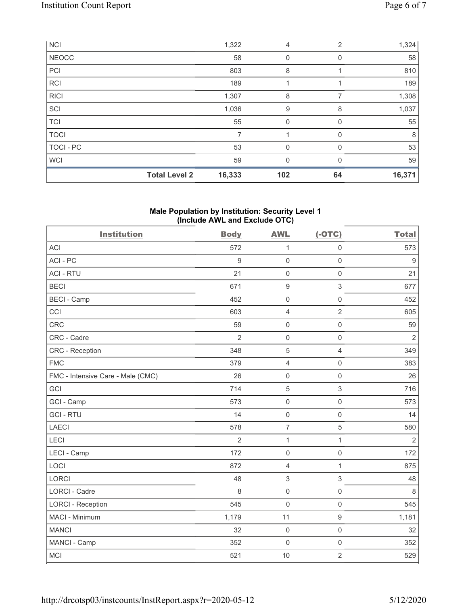| SCI         |                      | 1,036  | 9           | 8        | 1,037  |
|-------------|----------------------|--------|-------------|----------|--------|
| <b>RICI</b> |                      | 1,307  | 8           | 7        | 1,308  |
| <b>TCI</b>  |                      | 55     | $\mathbf 0$ | $\Omega$ | 55     |
| <b>TOCI</b> |                      |        |             |          | 8      |
| TOCI - PC   |                      | 53     | $\mathbf 0$ | $\Omega$ | 53     |
| <b>WCI</b>  |                      | 59     | 0           |          | 59     |
|             | <b>Total Level 2</b> | 16,333 | 102         | 64       | 16,371 |

### **Male Population by Institution: Security Level 1 (Include AWL and Exclude OTC)**

| <b>Institution</b>                | <b>Body</b>      | <b>AWL</b>          | $(-OTC)$            | <b>Total</b>   |
|-----------------------------------|------------------|---------------------|---------------------|----------------|
| <b>ACI</b>                        | 572              | $\mathbf{1}$        | $\mathsf{O}\xspace$ | 573            |
| ACI-PC                            | $\boldsymbol{9}$ | $\mathbf 0$         | $\mathsf{O}\xspace$ | 9              |
| <b>ACI - RTU</b>                  | 21               | $\mathbf 0$         | $\mathbf 0$         | 21             |
| <b>BECI</b>                       | 671              | $\boldsymbol{9}$    | $\mathfrak{S}$      | 677            |
| <b>BECI - Camp</b>                | 452              | $\mathbf 0$         | $\mathsf{O}\xspace$ | 452            |
| CCI                               | 603              | $\overline{4}$      | $\overline{2}$      | 605            |
| <b>CRC</b>                        | 59               | $\mathbf 0$         | $\mathbf 0$         | 59             |
| CRC - Cadre                       | $\overline{2}$   | $\mathbf 0$         | $\mathsf 0$         | $\overline{2}$ |
| <b>CRC</b> - Reception            | 348              | 5                   | $\overline{4}$      | 349            |
| <b>FMC</b>                        | 379              | $\overline{4}$      | $\mathbf 0$         | 383            |
| FMC - Intensive Care - Male (CMC) | 26               | $\mathsf{O}\xspace$ | $\mathsf 0$         | 26             |
| GCI                               | 714              | 5                   | $\mathfrak{S}$      | 716            |
| GCI - Camp                        | 573              | $\mathsf{O}\xspace$ | $\mathsf 0$         | 573            |
| <b>GCI-RTU</b>                    | 14               | $\mathsf{O}\xspace$ | $\mathbf 0$         | 14             |
| <b>LAECI</b>                      | 578              | $\overline{7}$      | $\overline{5}$      | 580            |
| LECI                              | $\overline{2}$   | $\mathbf{1}$        | $\mathbf{1}$        | $\overline{2}$ |
| LECI - Camp                       | 172              | $\mathbf 0$         | $\mathbf 0$         | 172            |
| LOCI                              | 872              | $\overline{4}$      | $\mathbf{1}$        | 875            |
| <b>LORCI</b>                      | 48               | 3                   | $\sqrt{3}$          | 48             |
| <b>LORCI - Cadre</b>              | 8                | $\mathsf{O}\xspace$ | $\mathsf 0$         | $\,8\,$        |
| <b>LORCI - Reception</b>          | 545              | $\mathbf 0$         | $\mathbf 0$         | 545            |
| MACI - Minimum                    | 1,179            | 11                  | $\boldsymbol{9}$    | 1,181          |
| <b>MANCI</b>                      | 32               | $\mathbf 0$         | $\mathsf{O}\xspace$ | 32             |
| MANCI - Camp                      | 352              | $\mathbf 0$         | $\mathbf 0$         | 352            |
| <b>MCI</b>                        | 521              | 10                  | $\overline{2}$      | 529            |